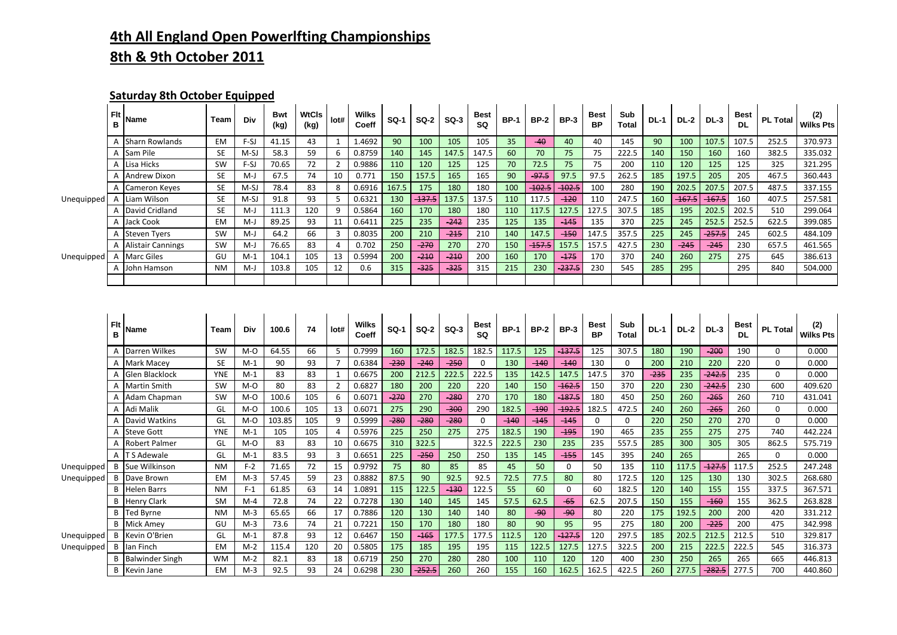## **4th All England Open Powerlfting Championships 8th & 9th October 2011**

## **Saturday 8th October Equipped**

|            | <b>Flt</b><br>в | <b>Name</b>              | Team      | <b>Div</b> | <b>Bwt</b><br>(kg) | <b>WtCls</b><br>(kg) | lot# | Wilks<br>Coeff | <b>SQ-1</b> | $SO-2$   | $SO-3$ | Best<br><b>SQ</b> | <b>BP-1</b> | <b>BP-2</b> | <b>BP-3</b> | Best<br>BP. | Sub<br><b>Total</b> | <b>DL-1</b> | <b>DL-2</b> | <b>DL-3</b> | <b>Best</b><br><b>DL</b> | <b>PL Total</b> | (2)<br><b>Wilks Pts</b> |
|------------|-----------------|--------------------------|-----------|------------|--------------------|----------------------|------|----------------|-------------|----------|--------|-------------------|-------------|-------------|-------------|-------------|---------------------|-------------|-------------|-------------|--------------------------|-----------------|-------------------------|
|            |                 | Sharn Rowlands           | <b>EM</b> | $F-SJ$     | 41.15              | 43                   |      | 1.4692         | 90          | 100      | 105    | 105               | 35          | $-40$       | 40          | 40          | 145                 | 90          | 100         | 107.5       | 107.5                    | 252.5           | 370.973                 |
|            |                 | Sam Pile                 | <b>SE</b> | $M-SJ$     | 58.3               | 59                   |      | 0.8759         | 140         | 145      | 147.5  | 147.5             | 60          | 70          | 75          | 75          | 222.5               | 140         | 150         | 160         | 160                      | 382.5           | 335.032                 |
|            |                 | A Lisa Hicks             | <b>SW</b> | $F-SJ$     | 70.65              | 72                   |      | 0.9886         | 110         | 120      | 125    | 125               | 70          | 72.5        | 75          | 75          | 200                 | 110         | 120         | 125         | 125                      | 325             | 321.295                 |
| Unequipped |                 | Andrew Dixon             | <b>SE</b> | $M-J$      | 67.5               | 74                   | 10   | 0.771          | 150         | 157.5    | 165    | 165               | 90          | $-97.5$     | 97.5        | 97.5        | 262.5               | 185         | 197.5       | 205         | 205                      | 467.5           | 360.443                 |
|            |                 | Cameron Keyes            | <b>SE</b> | $M-SJ$     | 78.4               | 83                   | 8    | 0.6916         | 167.5       | 175      | 180    | 180               | 100         | $-102.5$    | $-102.5$    | 100         | 280                 | 190         | 202.5       | 207.5       | 207.5                    | 487.5           | 337.155                 |
|            |                 | Liam Wilson              | <b>SE</b> | M-SJ       | 91.8               | 93                   |      | 0.6321         | 130         | $-137.5$ | 137.5  | 137.5             | 110         | 117.5       | $-120$      | 110         | 247.5               | 160         | $-167.5$    | $-167.5$    | 160                      | 407.5           | 257.581                 |
|            |                 | David Cridland           | <b>SE</b> | $M-J$      | 111.3              | 120                  | q    | 0.5864         | 160         | 170      | 180    | 180               | 110         | 117.5       | 127.5       | 127.5       | 307.5               | 185         | 195         | 202.5       | 202.5                    | 510             | 299.064                 |
|            |                 | A Jack Cook              | EM        | $M-J$      | 89.25              | 93                   |      | 0.6411         | 225         | 235      | $-242$ | 235               | 125         | 135         | $-145$      | 135         | 370                 | 225         | 245         | 252.5       | 252.5                    | 622.5           | 399.085                 |
|            |                 | <b>Steven Tyers</b>      | SW        | $M-J$      | 64.2               | 66                   |      | 0.8035         | 200         | 210      | $-215$ | 210               | 140         | 147.5       | $-150$      | 147.5       | 357.5               | 225         | 245         | $-257.5$    | 245                      | 602.5           | 484.109                 |
| Unequipped |                 | <b>Alistair Cannings</b> | SW        | $M-J$      | 76.65              | 83                   |      | 0.702          | 250         | $-270$   | 270    | 270               | 150         | $-157.5$    | 157.5       | 157.5       | 427.5               | 230         | $-245$      | $-245$      | 230                      | 657.5           | 461.565                 |
|            |                 | <b>Marc Giles</b>        | GU        | $M-1$      | 104.1              | 105                  | 13   | 0.5994         | 200         | $-210$   | $-210$ | 200               | 160         | 170         | $-175$      | 170         | 370                 | 240         | 260         | 275         | 275                      | 645             | 386.613                 |
|            |                 | John Hamson              | <b>NM</b> | $M-J$      | 103.8              | 105                  | 12   | 0.6            | 315         | $-325$   | $-325$ | 315               | 215         | 230         | $-237.5$    | 230         | 545                 | 285         | 295         |             | 295                      | 840             | 504.000                 |
|            |                 |                          |           |            |                    |                      |      |                |             |          |        |                   |             |             |             |             |                     |             |             |             |                          |                 |                         |

|            | Flt | Name                   | Team       | Div   | 100.6  | 74  | lot#           | Wilks<br>Coeff | <b>SQ-1</b> | <b>SQ-2</b> | $SO-3$ | <b>Best</b><br><b>SQ</b> | <b>BP-1</b> | <b>BP-2</b> | <b>BP-3</b> | <b>Best</b><br><b>BP</b> | Sub<br><b>Total</b> | <b>DL-1</b> | <b>DL-2</b> | $DL-3$   | Best<br><b>DL</b> | <b>PL Total</b> | (2)<br><b>Wilks Pts</b> |
|------------|-----|------------------------|------------|-------|--------|-----|----------------|----------------|-------------|-------------|--------|--------------------------|-------------|-------------|-------------|--------------------------|---------------------|-------------|-------------|----------|-------------------|-----------------|-------------------------|
|            |     | Darren Wilkes          | <b>SW</b>  | $M-O$ | 64.55  | 66  | 5              | 0.7999         | 160         | 172.5       | 182.5  | 182.5                    | 117.5       | 125         | $-137.5$    | 125                      | 307.5               | 180         | 190         | $-200$   | 190               | 0               | 0.000                   |
|            |     | Mark Macev             | <b>SE</b>  | $M-1$ | 90     | 93  |                | 0.6384         | $-230$      | $-240$      | $-250$ | 0                        | 130         | $-140$      | $-140$      | 130                      | $\Omega$            | 200         | 210         | 220      | 220               | 0               | 0.000                   |
|            |     | Glen Blacklock         | <b>YNE</b> | $M-1$ | 83     | 83  |                | 0.6675         | 200         | 212.5       | 222.5  | 222.5                    | 135         | 142.5       | 147.5       | 147.5                    | 370                 | $-235$      | 235         | $-242.5$ | 235               | 0               | 0.000                   |
|            |     | <b>Martin Smith</b>    | <b>SW</b>  | $M-O$ | 80     | 83  | 2              | 0.6827         | 180         | 200         | 220    | 220                      | 140         | 150         | $-162.5$    | 150                      | 370                 | 220         | 230         | $-242.5$ | 230               | 600             | 409.620                 |
|            |     | Adam Chapman           | SW         | $M-O$ | 100.6  | 105 | 6              | 0.6071         | $-270$      | 270         | $-280$ | 270                      | 170         | 180         | $-187.5$    | 180                      | 450                 | 250         | 260         | $-265$   | 260               | 710             | 431.041                 |
|            |     | Adi Malik              | GL         | $M-O$ | 100.6  | 105 | 13             | 0.6071         | 275         | 290         | $-300$ | 290                      | 182.5       | $-190$      | $-192.5$    | 182.5                    | 472.5               | 240         | 260         | $-265$   | 260               | 0               | 0.000                   |
|            |     | David Watkins          | GL         | $M-O$ | 103.85 | 105 | 9              | 0.5999         | $-280$      | $-280$      | $-280$ | $\Omega$                 | $-140$      | $-145$      | $-145$      | $\Omega$                 | $\Omega$            | 220         | 250         | 270      | 270               | 0               | 0.000                   |
|            |     | <b>Steve Gott</b>      | <b>YNE</b> | $M-1$ | 105    | 105 | $\overline{a}$ | 0.5976         | 225         | 250         | 275    | 275                      | 182.5       | 190         | $-195$      | 190                      | 465                 | 235         | 255         | 275      | 275               | 740             | 442.224                 |
|            |     | <b>Robert Palmer</b>   | GL         | $M-O$ | 83     | 83  | 10             | 0.6675         | 310         | 322.5       |        | 322.5                    | 222.5       | 230         | 235         | 235                      | 557.5               | 285         | 300         | 305      | 305               | 862.5           | 575.719                 |
|            |     | <b>T S Adewale</b>     | GL         | $M-1$ | 83.5   | 93  | 3              | 0.6651         | 225         | $-250$      | 250    | 250                      | 135         | 145         | $-155$      | 145                      | 395                 | 240         | 265         |          | 265               | 0               | 0.000                   |
| Unequipped |     | <b>Sue Wilkinson</b>   | <b>NM</b>  | $F-2$ | 71.65  | 72  | 15             | 0.9792         | 75          | 80          | 85     | 85                       | 45          | 50          | 0           | 50                       | 135                 | 110         | 117.5       | $-127.5$ | 117.5             | 252.5           | 247.248                 |
| Unequipped |     | Dave Brown             | <b>EM</b>  | $M-3$ | 57.45  | 59  | 23             | 0.8882         | 87.5        | 90          | 92.5   | 92.5                     | 72.5        | 77.5        | 80          | 80                       | 172.5               | 120         | 125         | 130      | 130               | 302.5           | 268.680                 |
|            |     | Helen Barrs            | <b>NM</b>  | $F-1$ | 61.85  | 63  | 14             | 1.0891         | 115         | 122.5       | $-130$ | 122.5                    | 55          | 60          | 0           | 60                       | 182.5               | 120         | 140         | 155      | 155               | 337.5           | 367.571                 |
|            |     | <b>Henry Clark</b>     | <b>SM</b>  | $M-4$ | 72.8   | 74  | 22             | 0.7278         | 130         | 140         | 145    | 145                      | 57.5        | 62.5        | $-65$       | 62.5                     | 207.5               | 150         | 155         | $-160$   | 155               | 362.5           | 263.828                 |
|            |     | <b>Ted Byrne</b>       | <b>NM</b>  | $M-3$ | 65.65  | 66  | 17             | 0.7886         | 120         | 130         | 140    | 140                      | 80          | $-90$       | $-90$       | 80                       | 220                 | 175         | 192.5       | 200      | 200               | 420             | 331.212                 |
|            |     | Mick Amev              | GU         | $M-3$ | 73.6   | 74  | 21             | 0.7221         | 150         | 170         | 180    | 180                      | 80          | 90          | 95          | 95                       | 275                 | 180         | 200         | $-225$   | 200               | 475             | 342.998                 |
| Unequipped |     | Kevin O'Brien          | GL         | $M-1$ | 87.8   | 93  | 12             | 0.6467         | 150         | $-165$      | 177.5  | 177.5                    | 112.5       | 120         | $-127.5$    | 120                      | 297.5               | 185         | 202.5       | 212.5    | 212.5             | 510             | 329.817                 |
| Unequipped | В   | llan Finch             | EM         | $M-2$ | 115.4  | 120 | 20             | 0.5805         | 175         | 185         | 195    | 195                      | 115         | 122.5       | 127.5       | 127.5                    | 322.5               | 200         | 215         | 222.5    | 222.5             | 545             | 316.373                 |
|            |     | <b>Balwinder Singh</b> | <b>WM</b>  | $M-2$ | 82.1   | 83  | 18             | 0.6719         | 250         | 270         | 280    | 280                      | 100         | 110         | 120         | 120                      | 400                 | 230         | 250         | 265      | 265               | 665             | 446.813                 |
|            |     | <b>B</b> Kevin Jane    | EM         | $M-3$ | 92.5   | 93  | 24             | 0.6298         | 230         | $-252.5$    | 260    | 260                      | 155         | 160         | 162.5       | 162.5                    | 422.5               | 260         | 277.5       | $-282.5$ | 277.5             | 700             | 440.860                 |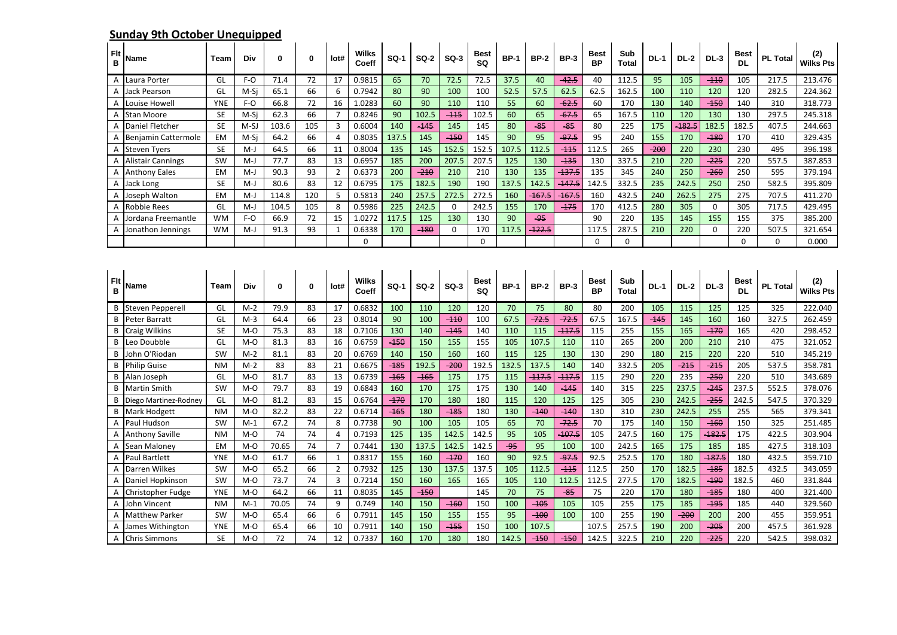## **Sunday 9th October Unequipped**

| Flt<br>в | Name                     | Team       | Div    | 0     | 0   | lot#           | <b>Wilks</b><br>Coeff | <b>SQ-1</b>      | <b>SQ-2</b> | $SO-3$      | <b>Best</b><br>SQ | <b>BP-1</b> | <b>BP-2</b> | <b>BP-3</b> | <b>Best</b><br><b>BP</b> | Sub<br><b>Total</b> | $DL-1$ | <b>DL-2</b> | $DL-3$      | Best<br><b>DL</b>        | <b>PL Total</b> | (2)<br>Wilks Pts        |
|----------|--------------------------|------------|--------|-------|-----|----------------|-----------------------|------------------|-------------|-------------|-------------------|-------------|-------------|-------------|--------------------------|---------------------|--------|-------------|-------------|--------------------------|-----------------|-------------------------|
| Α        | Laura Porter             | GL         | $F-O$  | 71.4  | 72  | 17             | 0.9815                | 65               | 70          | 72.5        | 72.5              | 37.5        | 40          | $-42.5$     | 40                       | 112.5               | 95     | 105         | $-110$      | 105                      | 217.5           | 213.476                 |
| A        | <b>Jack Pearson</b>      | GL         | M-Si   | 65.1  | 66  | 6              | 0.7942                | 80               | 90          | 100         | 100               | 52.5        | 57.5        | 62.5        | 62.5                     | 162.5               | 100    | 110         | 120         | 120                      | 282.5           | 224.362                 |
| Α        | ouise Howel.             | <b>YNE</b> | F-O    | 66.8  | 72  | 16             | 1.0283                | 60               | 90          | 110         | 110               | 55          | 60          | $-62.5$     | 60                       | 170                 | 130    | 140         | $-150$      | 140                      | 310             | 318.773                 |
| Α        | Stan Moore               | <b>SE</b>  | M-Si   | 62.3  | 66  | $\overline{7}$ | 0.8246                | 90               | 102.5       | $-115$      | 102.5             | 60          | 65          | $-67.5$     | 65                       | 167.5               | 110    | 120         | 130         | 130                      | 297.5           | 245.318                 |
| Α        | Daniel Fletcher          | <b>SE</b>  | $M-SJ$ | 103.6 | 105 | 3              | 0.6004                | 140              | $-145$      | 145         | 145               | 80          | $-85$       | $-85$       | 80                       | 225                 | 175    | $-182.5$    | 182.5       | 182.5                    | 407.5           | 244.663                 |
| А        | Benjamin Cattermole      | <b>EM</b>  | M-Si   | 64.2  | 66  | 4              | 0.8035                | 137.5            | 145         | $-150$      | 145               | 90          | 95          | $-97.5$     | 95                       | 240                 | 155    | 170         | $-180$      | 170                      | 410             | 329.435                 |
| Α        | <b>Steven Tyers</b>      | SE         | $M-J$  | 64.5  | 66  | 11             | 0.8004                | 135              | 145         | 152.5       | 152.5             | 107.5       | 112.5       | $-115$      | 112.5                    | 265                 | $-200$ | 220         | 230         | 230                      | 495             | 396.198                 |
| Α        | <b>Alistair Cannings</b> | SW         | $M-J$  | 77.7  | 83  | 13             | 0.6957                | 185              | 200         | 207.5       | 207.5             | 125         | 130         | $-135$      | 130                      | 337.5               | 210    | 220         | $-225$      | 220                      | 557.5           | 387.853                 |
| A        | <b>Anthony Eales</b>     | <b>EM</b>  | $M-J$  | 90.3  | 93  | $\overline{2}$ | 0.6373                | 200              | $-210$      | 210         | 210               | 130         | 135         | $-137.5$    | 135                      | 345                 | 240    | 250         | $-260$      | 250                      | 595             | 379.194                 |
| A        | Jack Long                | <b>SE</b>  | $M-J$  | 80.6  | 83  | 12             | 0.6795                | 175              | 182.5       | 190         | 190               | 137.5       | 142.5       | $-147.5$    | 142.5                    | 332.5               | 235    | 242.5       | 250         | 250                      | 582.5           | 395.809                 |
| Α        | Joseph Walton            | EM         | $M-J$  | 114.8 | 120 | 5              | 0.5813                | 240              | 257.5       | 272.5       | 272.5             | 160         | $-167.5$    | 167.5       | 160                      | 432.5               | 240    | 262.5       | 275         | 275                      | 707.5           | 411.270                 |
| A        | <b>Robbie Rees</b>       | GL         | $M-J$  | 104.5 | 105 | 8              | 0.5986                | 225              | 242.5       | $\mathbf 0$ | 242.5             | 155         | 170         | $-175$      | 170                      | 412.5               | 280    | 305         | $\mathbf 0$ | 305                      | 717.5           | 429.495                 |
| А        | Iordana Freemantle       | <b>WM</b>  | $F-O$  | 66.9  | 72  | 15             | 1.0272                | 117.5            | 125         | 130         | 130               | 90          | $-95$       |             | 90                       | 220                 | 135    | 145         | 155         | 155                      | 375             | 385.200                 |
| Α        | Jonathon Jennings        | <b>WM</b>  | $M-J$  | 91.3  | 93  | $\mathbf{1}$   | 0.6338                | 170              | $-180$      | $\bf{0}$    | 170               | 117.5       | $-122.5$    |             | 117.5                    | 287.5               | 210    | 220         | 0           | 220                      | 507.5           | 321.654                 |
|          |                          |            |        |       |     |                | $\mathbf 0$           |                  |             |             | $\Omega$          |             |             |             | 0                        | $\Omega$            |        |             |             | $\Omega$                 | $\Omega$        | 0.000                   |
| Flt<br>B | Name                     | Team       | Div    | 0     | 0   | lot#           | Wilks<br>Coeff        | SQ-1             | <b>SQ-2</b> | $SO-3$      | <b>Best</b><br>SQ | BP-1        | <b>BP-2</b> | <b>BP-3</b> | <b>Best</b><br><b>BP</b> | Sub<br>Total        | $DL-1$ | <b>DL-2</b> | <b>DL-3</b> | <b>Best</b><br><b>DL</b> | <b>PL Total</b> | (2)<br><b>Wilks Pts</b> |
| В        | <b>Steven Pepperell</b>  | GL         | $M-2$  | 79.9  | 83  | 17             | 0.6832                | 100              | 110         | 120         | 120               | 70          | 75          | 80          | 80                       | 200                 | 105    | 115         | 125         | 125                      | 325             | 222.040                 |
| B        | Peter Barratt            | GL         | $M-3$  | 64.4  | 66  | 23             | 0.8014                | 90               | 100         | $-110$      | 100               | 67.5        | $-72.5$     | $-72.5$     | 67.5                     | 167.5               | $-145$ | 145         | 160         | 160                      | 327.5           | 262.459                 |
| B        | <b>Craig Wilkins</b>     | <b>SE</b>  | $M-O$  | 75.3  | 83  | 18             | 0.7106                | 130              | 140         | $-145$      | 140               | 110         | 115         | $-117.5$    | 115                      | 255                 | 155    | 165         | $-170$      | 165                      | 420             | 298.452                 |
| B        | Leo Doubble              | GL         | $M-O$  | 81.3  | 83  | 16             | 0.6759                | $\overline{450}$ | 150         | 155         | 155               | 105         | 107.5       | 110         | 110                      | 265                 | 200    | 200         | 210         | 210                      | 475             | 321.052                 |
| B        | John O'Riodan            | SW         | $M-2$  | 81.1  | 83  | 20             | 0.6769                | 140              | 150         | 160         | 160               | 115         | 125         | 130         | 130                      | 290                 | 180    | 215         | 220         | 220                      | 510             | 345.219                 |
| B        | <b>Philip Guise</b>      | <b>NM</b>  | $M-2$  | 83    | 83  | 21             | 0.6675                | $-185$           | 192.5       | $-200$      | 192.5             | 132.5       | 137.5       | 140         | 140                      | 332.5               | 205    | $-215$      | $-215$      | 205                      | 537.5           | 358.781                 |
| B        | Alan Joseph              | GL         | $M-O$  | 81.7  | 83  | 13             | 0.6739                | $-165$           | $-165$      | 175         | 175               | 115         | $-117.5$    | $-117.5$    | 115                      | 290                 | 220    | 235         | $-250$      | 220                      | 510             | 343.689                 |
| B        | <b>Martin Smith</b>      | <b>SW</b>  | $M-O$  | 79.7  | 83  | 19             | 0.6843                | 160              | 170         | 175         | 175               | 130         | 140         | $-145$      | 140                      | 315                 | 225    | 237.5       | $-245$      | 237.5                    | 552.5           | 378.076                 |
| B        | Diego Martinez-Rodney    | GL         | $M-O$  | 81.2  | 83  | 15             | 0.6764                | $-170$           | 170         | 180         | 180               | 115         | 120         | 125         | 125                      | 305                 | 230    | 242.5       | $-255$      | 242.5                    | 547.5           | 370.329                 |
| B        | Mark Hodgett             | <b>NM</b>  | $M-O$  | 82.2  | 83  | 22             | 0.6714                | $-165$           | 180         | $-185$      | 180               | 130         | $-140$      | $-140$      | 130                      | 310                 | 230    | 242.5       | 255         | 255                      | 565             | 379.341                 |
| A        | Paul Hudson              | SW         | $M-1$  | 67.2  | 74  | 8              | 0.7738                | 90               | 100         | 105         | 105               | 65          | 70          | $-72.5$     | 70                       | 175                 | 140    | 150         | $-160$      | 150                      | 325             | 251.485                 |
| Α        | <b>Anthony Saville</b>   | <b>NM</b>  | $M-O$  | 74    | 74  | $\overline{4}$ | 0.7193                | 125              | 135         | 142.5       | 142.5             | 95          | 105         | $-107.5$    | 105                      | 247.5               | 160    | 175         | $-182.5$    | 175                      | 422.5           | 303.904                 |
| A        | Sean Maloney             | EM         | $M-O$  | 70.65 | 74  | $\overline{7}$ | 0.7441                | 130              | 137.5       | 142.5       | 142.5             | -95         | 95          | 100         | 100                      | 242.5               | 165    | 175         | 185         | 185                      | 427.5           | 318.103                 |
| Α        | <b>Paul Bartlett</b>     | <b>YNE</b> | M-O    | 61.7  | 66  | $\mathbf{1}$   | 0.8317                | 155              | 160         | $-170$      | 160               | 90          | 92.5        | $-97.5$     | 92.5                     | 252.5               | 170    | 180         | 187.5       | 180                      | 432.5           | 359.710                 |
| Α        | Darren Wilkes            | SW         | $M-O$  | 65.2  | 66  | $\overline{2}$ | 0.7932                | 125              | 130         | 137.5       | 137.5             | 105         | 112.5       | $-115$      | 112.5                    | 250                 | 170    | 182.5       | $-185$      | 182.5                    | 432.5           | 343.059                 |
| A        | Daniel Hopkinson         | SW         | $M-O$  | 73.7  | 74  | $\overline{3}$ | 0.7214                | 150              | 160         | 165         | 165               | 105         | 110         | 112.5       | 112.5                    | 277.5               | 170    | 182.5       | $-190$      | 182.5                    | 460             | 331.844                 |
| Α        | Christopher Fudge        | <b>YNE</b> | $M-O$  | 64.2  | 66  | 11             | 0.8035                | 145              | $-150$      |             | 145               | 70          | 75          | $-85$       | 75                       | 220                 | 170    | 180         | $-185$      | 180                      | 400             | 321.400                 |
| A        | John Vincent             | <b>NM</b>  | $M-1$  | 70.05 | 74  | 9              | 0.749                 | 140              | 150         | $-160$      | 150               | 100         | $-105$      | 105         | 105                      | 255                 | 175    | 185         | $-195$      | 185                      | 440             | 329.560                 |
| A        | <b>Matthew Parker</b>    | SW         | $M-O$  | 65.4  | 66  | 6              | 0.7911                | 145              | 150         | 155         | 155               | 95          | $-100$      | 100         | 100                      | 255                 | 190    | $-200$      | 200         | 200                      | 455             | 359.951                 |
| A        | James Withington         | <b>YNE</b> | $M-O$  | 65.4  | 66  | 10             | 0.7911                | 140              | 150         | $-155$      | 150               | 100         | 107.5       |             | 107.5                    | 257.5               | 190    | 200         | $-205$      | 200                      | 457.5           | 361.928                 |
| A        | <b>Chris Simmons</b>     | <b>SE</b>  | $M-O$  | 72    | 74  | 12             | 0.7337                | 160              | 170         | 180         | 180               | 142.5       | $-150$      | $-150$      | 142.5                    | 322.5               | 210    | 220         | $-225$      | 220                      | 542.5           | 398.032                 |